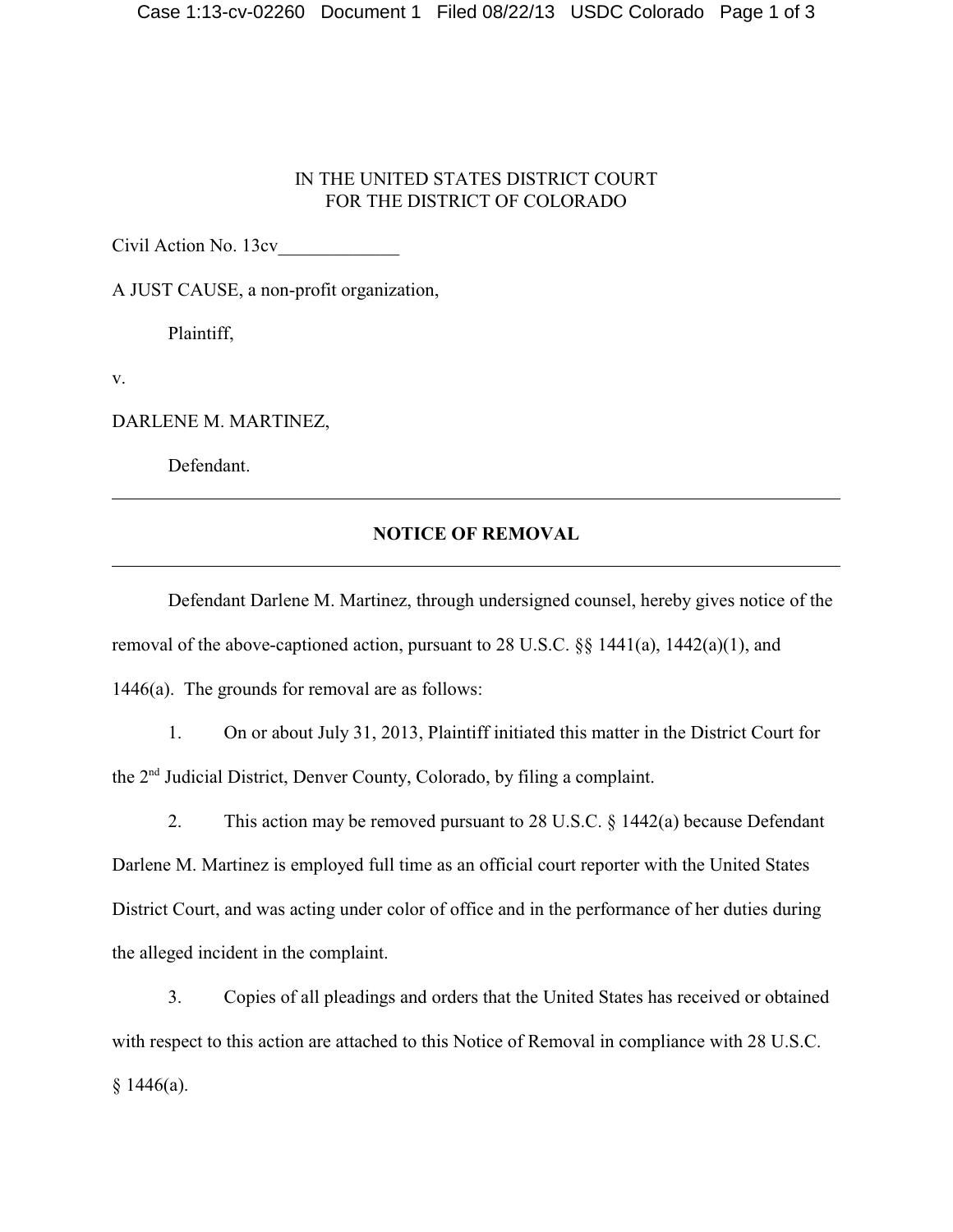## IN THE UNITED STATES DISTRICT COURT FOR THE DISTRICT OF COLORADO

Civil Action No. 13cv\_\_\_\_\_\_\_\_\_\_\_\_\_

A JUST CAUSE, a non-profit organization,

Plaintiff,

v.

DARLENE M. MARTINEZ,

Defendant.

## **NOTICE OF REMOVAL**

Defendant Darlene M. Martinez, through undersigned counsel, hereby gives notice of the removal of the above-captioned action, pursuant to 28 U.S.C. §§ 1441(a), 1442(a)(1), and 1446(a). The grounds for removal are as follows:

1. On or about July 31, 2013, Plaintiff initiated this matter in the District Court for the 2<sup>nd</sup> Judicial District, Denver County, Colorado, by filing a complaint.

2. This action may be removed pursuant to 28 U.S.C. § 1442(a) because Defendant Darlene M. Martinez is employed full time as an official court reporter with the United States District Court, and was acting under color of office and in the performance of her duties during the alleged incident in the complaint.

3. Copies of all pleadings and orders that the United States has received or obtained with respect to this action are attached to this Notice of Removal in compliance with 28 U.S.C.  $§ 1446(a).$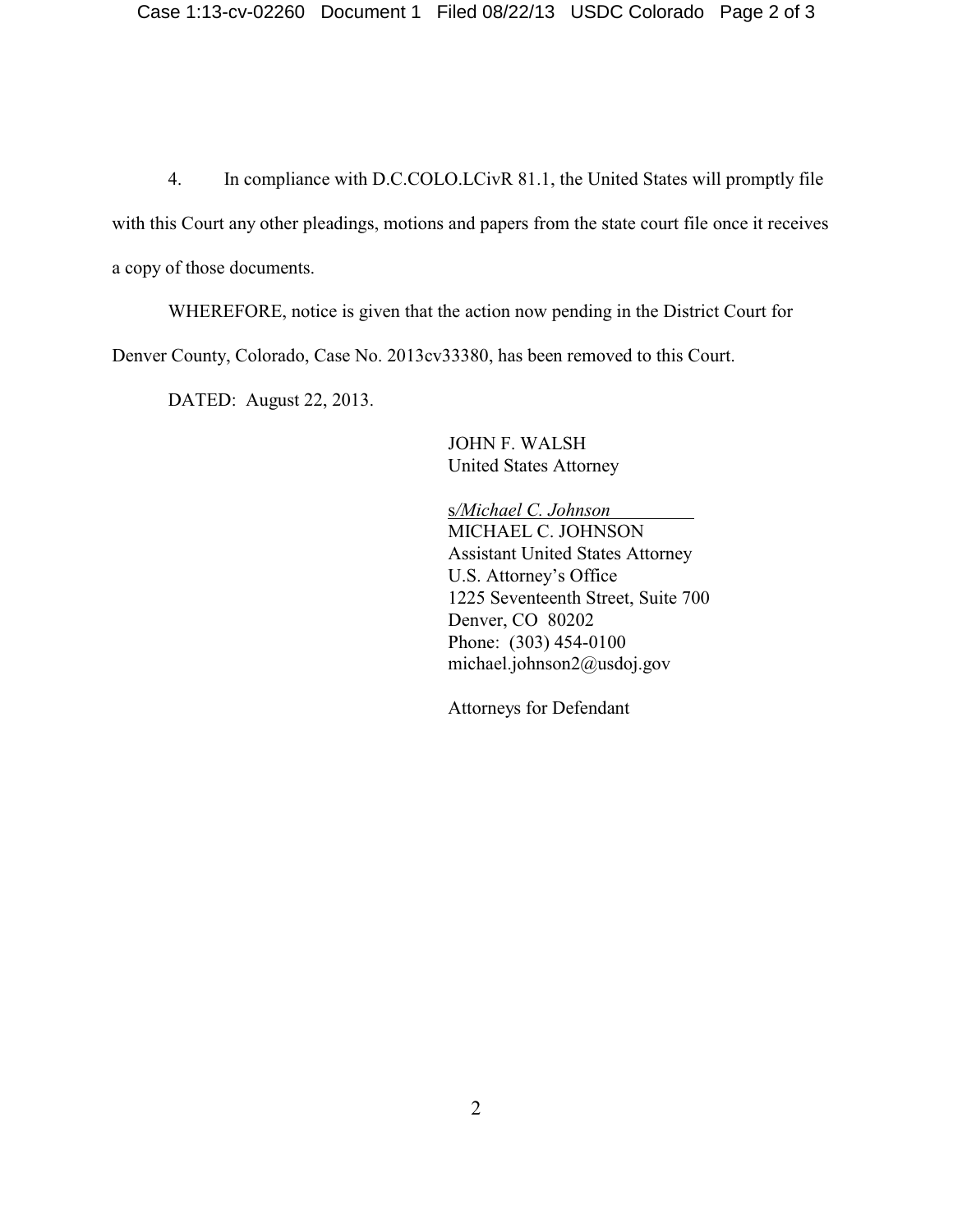4. In compliance with D.C.COLO.LCivR 81.1, the United States will promptly file with this Court any other pleadings, motions and papers from the state court file once it receives a copy of those documents.

WHEREFORE, notice is given that the action now pending in the District Court for Denver County, Colorado, Case No. 2013cv33380, has been removed to this Court.

DATED: August 22, 2013.

JOHN F. WALSH United States Attorney

s*/Michael C. Johnson*  MICHAEL C. JOHNSON Assistant United States Attorney U.S. Attorney's Office 1225 Seventeenth Street, Suite 700 Denver, CO 80202 Phone: (303) 454-0100 michael.johnson2@usdoj.gov

Attorneys for Defendant